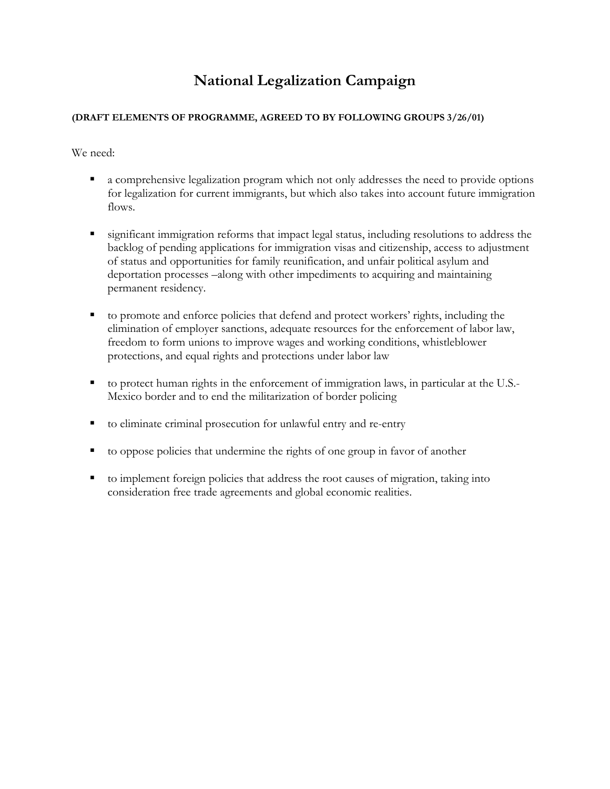## **National Legalization Campaign**

## **(DRAFT ELEMENTS OF PROGRAMME, AGREED TO BY FOLLOWING GROUPS 3/26/01)**

We need:

- a comprehensive legalization program which not only addresses the need to provide options for legalization for current immigrants, but which also takes into account future immigration flows.
- significant immigration reforms that impact legal status, including resolutions to address the backlog of pending applications for immigration visas and citizenship, access to adjustment of status and opportunities for family reunification, and unfair political asylum and deportation processes –along with other impediments to acquiring and maintaining permanent residency.
- to promote and enforce policies that defend and protect workers' rights, including the elimination of employer sanctions, adequate resources for the enforcement of labor law, freedom to form unions to improve wages and working conditions, whistleblower protections, and equal rights and protections under labor law
- to protect human rights in the enforcement of immigration laws, in particular at the U.S.- Mexico border and to end the militarization of border policing
- to eliminate criminal prosecution for unlawful entry and re-entry
- to oppose policies that undermine the rights of one group in favor of another
- to implement foreign policies that address the root causes of migration, taking into consideration free trade agreements and global economic realities.